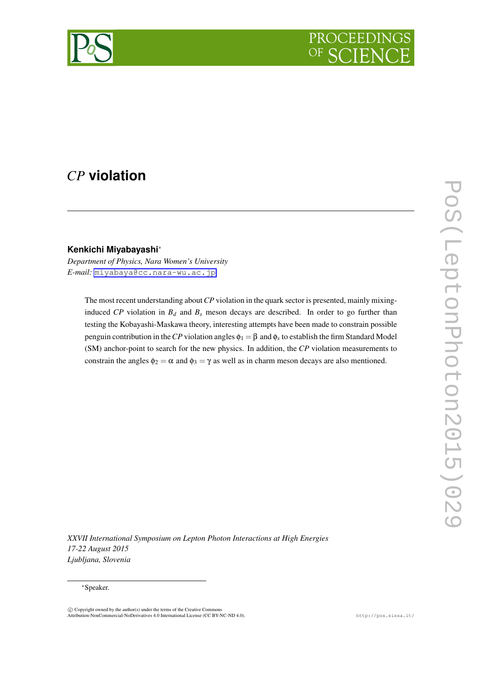

# *CP* **violation**

# **Kenkichi Miyabayashi***∗*

*Department of Physics, Nara Women's University E-mail:* [miyabaya@cc.nara-wu.ac.jp](mailto:miyabaya@cc.nara-wu.ac.jp)

> The most recent understanding about*CP* violation in the quark sector is presented, mainly mixinginduced *CP* violation in  $B_d$  and  $B_s$  meson decays are described. In order to go further than testing the Kobayashi-Maskawa theory, interesting attempts have been made to constrain possible penguin contribution in the  $CP$  violation angles  $\phi_1 = \beta$  and  $\phi_s$  to establish the firm Standard Model (SM) anchor-point to search for the new physics. In addition, the *CP* violation measurements to constrain the angles  $\phi_2 = \alpha$  and  $\phi_3 = \gamma$  as well as in charm meson decays are also mentioned.

*XXVII International Symposium on Lepton Photon Interactions at High Energies 17-22 August 2015 Ljubljana, Slovenia*

### *∗*Speaker.

 $\odot$  Copyright owned by the author(s) under the terms of the Creative Common Attribution-NonCommercial-NoDerivatives 4.0 International License (CC BY-NC-ND 4.0). http://pos.sissa.it/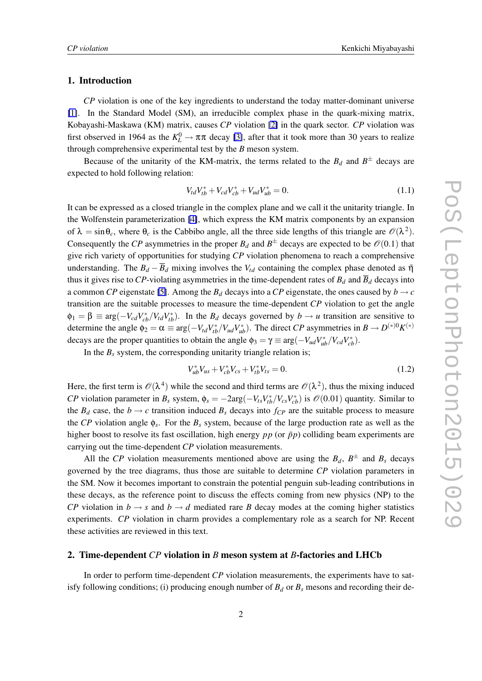### 1. Introduction

*CP* violation is one of the key ingredients to understand the today matter-dominant universe [\[1\]](#page-6-0). In the Standard Model (SM), an irreducible complex phase in the quark-mixing matrix, Kobayashi-Maskawa (KM) matrix, causes *CP* violation [\[2\]](#page-6-0) in the quark sector. *CP* violation was first observed in 1964 as the  $K_L^0 \to \pi \pi$  decay [\[3\]](#page-6-0), after that it took more than 30 years to realize through comprehensive experimental test by the *B* meson system.

Because of the unitarity of the KM-matrix, the terms related to the  $B_d$  and  $B^{\pm}$  decays are expected to hold following relation:

$$
V_{td}V_{tb}^* + V_{cd}V_{cb}^* + V_{ud}V_{ub}^* = 0.
$$
\n(1.1)

It can be expressed as a closed triangle in the complex plane and we call it the unitarity triangle. In the Wolfenstein parameterization [\[4\]](#page-6-0), which express the KM matrix components by an expansion of  $\lambda = \sin \theta_c$ , where  $\theta_c$  is the Cabbibo angle, all the three side lengths of this triangle are  $\mathcal{O}(\lambda^2)$ . Consequently the *CP* asymmetries in the proper  $B_d$  and  $B^{\pm}$  decays are expected to be  $\mathcal{O}(0.1)$  that give rich variety of opportunities for studying *CP* violation phenomena to reach a comprehensive understanding. The  $B_d - \overline{B}_d$  mixing involves the  $V_{td}$  containing the complex phase denoted as  $\overline{\eta}$ thus it gives rise to *CP*-violating asymmetries in the time-dependent rates of  $B_d$  and  $\overline{B}_d$  decays into a common *CP* eigenstate [\[5\]](#page-6-0). Among the  $B_d$  decays into a *CP* eigenstate, the ones caused by  $b \rightarrow c$ transition are the suitable processes to measure the time-dependent *CP* violation to get the angle  $\phi_1 = \beta \equiv \arg(-V_{cd}V_{cb}^*/V_{td}V_{tb}^*)$ . In the *B<sub>d</sub>* decays governed by  $b \to u$  transition are sensitive to determine the angle  $\phi_2 = \alpha \equiv \arg(-V_{td}V_{tb}^*/V_{ud}V_{ub}^*)$ . The direct CP asymmetries in  $B \to D^{(*)0}K^{(*)}$ decays are the proper quantities to obtain the angle  $\phi_3 = \gamma \equiv \arg(-V_{ud}V_{ub}^*/V_{cd}V_{cb}^*)$ .

In the  $B_s$  system, the corresponding unitarity triangle relation is;

$$
V_{ub}^* V_{us} + V_{cb}^* V_{cs} + V_{tb}^* V_{ts} = 0.
$$
\n(1.2)

Here, the first term is  $\mathscr{O}(\lambda^4)$  while the second and third terms are  $\mathscr{O}(\lambda^2)$ , thus the mixing induced CP violation parameter in  $B_s$  system,  $\phi_s = -2\arg(-V_{ts}V_{tb}^*/V_{cs}V_{cb}^*)$  is  $\mathcal{O}(0.01)$  quantity. Similar to the  $B_d$  case, the  $b \rightarrow c$  transition induced  $B_s$  decays into  $f_{CP}$  are the suitable process to measure the *CP* violation angle  $\phi_s$ . For the  $B_s$  system, because of the large production rate as well as the higher boost to resolve its fast oscillation, high energy *pp* (or  $\bar{p}p$ ) colliding beam experiments are carrying out the time-dependent *CP* violation measurements.

All the *CP* violation measurements mentioned above are using the  $B_d$ ,  $B^{\pm}$  and  $B_s$  decays governed by the tree diagrams, thus those are suitable to determine *CP* violation parameters in the SM. Now it becomes important to constrain the potential penguin sub-leading contributions in these decays, as the reference point to discuss the effects coming from new physics (NP) to the *CP* violation in  $b \rightarrow s$  and  $b \rightarrow d$  mediated rare *B* decay modes at the coming higher statistics experiments. *CP* violation in charm provides a complementary role as a search for NP. Recent these activities are reviewed in this text.

# 2. Time-dependent *CP* violation in *B* meson system at *B*-factories and LHCb

In order to perform time-dependent *CP* violation measurements, the experiments have to satisfy following conditions; (i) producing enough number of  $B_d$  or  $B_s$  mesons and recording their de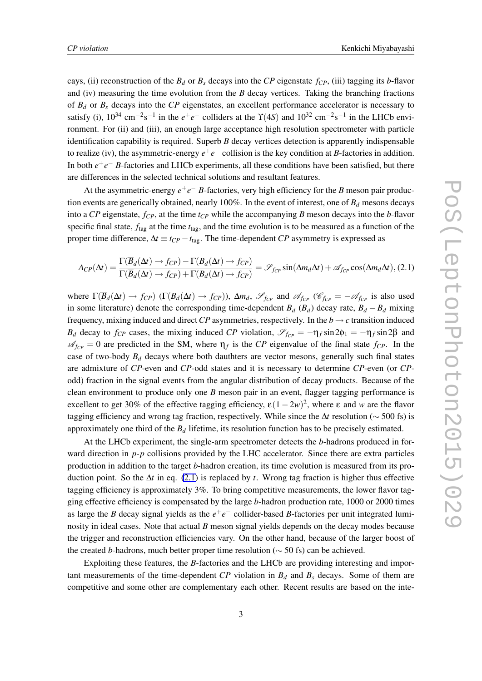cays, (ii) reconstruction of the  $B_d$  or  $B_s$  decays into the *CP* eigenstate  $f_{CP}$ , (iii) tagging its *b*-flavor and (iv) measuring the time evolution from the *B* decay vertices. Taking the branching fractions of  $B_d$  or  $B_s$  decays into the  $CP$  eigenstates, an excellent performance accelerator is necessary to satisfy (i),  $10^{34}$  cm<sup>-2</sup>s<sup>-1</sup> in the  $e^+e^-$  colliders at the  $\Upsilon(4S)$  and  $10^{32}$  cm<sup>-2</sup>s<sup>-1</sup> in the LHCb environment. For (ii) and (iii), an enough large acceptance high resolution spectrometer with particle identification capability is required. Superb *B* decay vertices detection is apparently indispensable to realize (iv), the asymmetric-energy *e* +*e −* collision is the key condition at *B*-factories in addition. In both *e* +*e − B*-factories and LHCb experiments, all these conditions have been satisfied, but there are differences in the selected technical solutions and resultant features.

At the asymmetric-energy  $e^+e^-$  *B*-factories, very high efficiency for the *B* meson pair production events are generically obtained, nearly 100%. In the event of interest, one of *B<sup>d</sup>* mesons decays into a *CP* eigenstate, *fCP*, at the time *tCP* while the accompanying *B* meson decays into the *b*-flavor specific final state,  $f_{\text{tag}}$  at the time  $t_{\text{tag}}$ , and the time evolution is to be measured as a function of the proper time difference,  $\Delta t \equiv t_{CP} - t_{\text{tag}}$ . The time-dependent *CP* asymmetry is expressed as

$$
A_{CP}(\Delta t) = \frac{\Gamma(\overline{B}_d(\Delta t) \to f_{CP}) - \Gamma(B_d(\Delta t) \to f_{CP})}{\Gamma(\overline{B}_d(\Delta t) \to f_{CP}) + \Gamma(B_d(\Delta t) \to f_{CP})} = \mathcal{S}_{f_{CP}} \sin(\Delta m_d \Delta t) + \mathcal{A}_{f_{CP}} \cos(\Delta m_d \Delta t), (2.1)
$$

where  $\Gamma(\overline{B}_d(\Delta t) \to f_{CP})$  ( $\Gamma(B_d(\Delta t) \to f_{CP})$ ),  $\Delta m_d$ ,  $\mathscr{S}_{f_{CP}}$  and  $\mathscr{A}_{f_{CP}}$  ( $\mathscr{C}_{f_{CP}} = -\mathscr{A}_{f_{CP}}$  is also used in some literature) denote the corresponding time-dependent  $\overline{B}_d$  ( $B_d$ ) decay rate,  $B_d - \overline{B}_d$  mixing frequency, mixing induced and direct  $\mathbb{CP}$  asymmetries, respectively. In the  $b \rightarrow c$  transition induced *B*<sup>*d*</sup> decay to *f<sub>CP</sub>* cases, the mixing induced *CP* violation,  $\mathcal{S}_{fCP} = -η_f \sin 2φ_1 = -η_f \sin 2β$  and  $\mathscr{A}_{fcp} = 0$  are predicted in the SM, where  $\eta_f$  is the *CP* eigenvalue of the final state  $f_{CP}$ . In the case of two-body  $B_d$  decays where both dauthters are vector mesons, generally such final states are admixture of *CP*-even and *CP*-odd states and it is necessary to determine *CP*-even (or *CP*odd) fraction in the signal events from the angular distribution of decay products. Because of the clean environment to produce only one *B* meson pair in an event, flagger tagging performance is excellent to get 30% of the effective tagging efficiency,  $\varepsilon(1-2w)^2$ , where  $\varepsilon$  and *w* are the flavor tagging efficiency and wrong tag fraction, respectively. While since the ∆*t* resolution (*∼* 500 fs) is approximately one third of the  $B_d$  lifetime, its resolution function has to be precisely estimated.

At the LHCb experiment, the single-arm spectrometer detects the *b*-hadrons produced in forward direction in *p-p* collisions provided by the LHC accelerator. Since there are extra particles production in addition to the target *b*-hadron creation, its time evolution is measured from its production point. So the  $\Delta t$  in eq. (2.1) is replaced by *t*. Wrong tag fraction is higher thus effective tagging efficiency is approximately 3%. To bring competitive measurements, the lower flavor tagging effective efficiency is compensated by the large *b*-hadron production rate, 1000 or 2000 times as large the *B* decay signal yields as the *e* +*e −* collider-based *B*-factories per unit integrated luminosity in ideal cases. Note that actual *B* meson signal yields depends on the decay modes because the trigger and reconstruction efficiencies vary. On the other hand, because of the larger boost of the created *b*-hadrons, much better proper time resolution (*∼* 50 fs) can be achieved.

Exploiting these features, the *B*-factories and the LHCb are providing interesting and important measurements of the time-dependent  $CP$  violation in  $B_d$  and  $B_s$  decays. Some of them are competitive and some other are complementary each other. Recent results are based on the inte-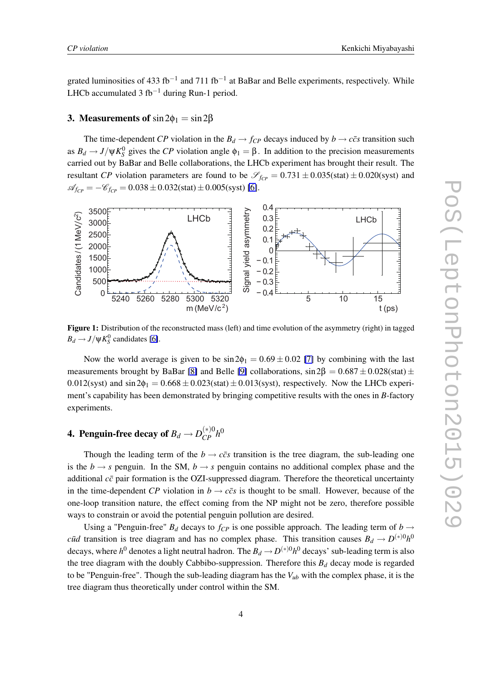grated luminosities of 433 fb*−*<sup>1</sup> and 711 fb*−*<sup>1</sup> at BaBar and Belle experiments, respectively. While LHCb accumulated 3 fb*−*<sup>1</sup> during Run-1 period.

# 3. Measurements of  $\sin 2\phi_1 = \sin 2\beta$

The time-dependent *CP* violation in the  $B_d \rightarrow f_{CP}$  decays induced by  $b \rightarrow c\bar{c}s$  transition such as  $B_d \to J/\psi K_S^0$  gives the *CP* violation angle  $\phi_1 = \beta$ . In addition to the precision measurements carried out by BaBar and Belle collaborations, the LHCb experiment has brought their result. The resultant *CP* violation parameters are found to be  $\mathcal{S}_{fC} = 0.731 \pm 0.035$ (stat)  $\pm 0.020$ (syst) and  $\mathcal{A}_{fcp} = -\mathcal{C}_{fcp} = 0.038 \pm 0.032$ (stat) $\pm 0.005$ (syst) [\[6\]](#page-6-0).



Figure 1: Distribution of the reconstructed mass (left) and time evolution of the asymmetry (right) in tagged  $B_d \rightarrow J/\psi K_S^0$  candidates [\[6\]](#page-6-0).

Now the world average is given to be  $\sin 2\phi_1 = 0.69 \pm 0.02$  [\[7\]](#page-6-0) by combining with the last measurements brought by BaBar [\[8\]](#page-6-0) and Belle [\[9\]](#page-6-0) collaborations, sin 2β = 0*.*687 *±* 0*.*028(stat) *±*  $0.012$ (syst) and  $\sin 2\phi_1 = 0.668 \pm 0.023$ (stat)  $\pm 0.013$ (syst), respectively. Now the LHCb experiment's capability has been demonstrated by bringing competitive results with the ones in *B*-factory experiments.

# 4. Penguin-free decay of  $B_d \rightarrow D_{CP}^{(*)0} h^0$

Though the leading term of the  $b \rightarrow c\bar{c}s$  transition is the tree diagram, the sub-leading one is the  $b \rightarrow s$  penguin. In the SM,  $b \rightarrow s$  penguin contains no additional complex phase and the additional  $c\bar{c}$  pair formation is the OZI-suppressed diagram. Therefore the theoretical uncertainty in the time-dependent *CP* violation in  $b \rightarrow c\bar{c}s$  is thought to be small. However, because of the one-loop transition nature, the effect coming from the NP might not be zero, therefore possible ways to constrain or avoid the potential penguin pollution are desired.

Using a "Penguin-free"  $B_d$  decays to  $f_{CP}$  is one possible approach. The leading term of  $b \rightarrow$ *cud* transition is tree diagram and has no complex phase. This transition causes  $B_d \rightarrow D^{(*)0}h^0$ decays, where  $h^0$  denotes a light neutral hadron. The  $B_d \to D^{(*)0} h^0$  decays' sub-leading term is also the tree diagram with the doubly Cabbibo-suppression. Therefore this  $B_d$  decay mode is regarded to be "Penguin-free". Though the sub-leading diagram has the *Vub* with the complex phase, it is the tree diagram thus theoretically under control within the SM.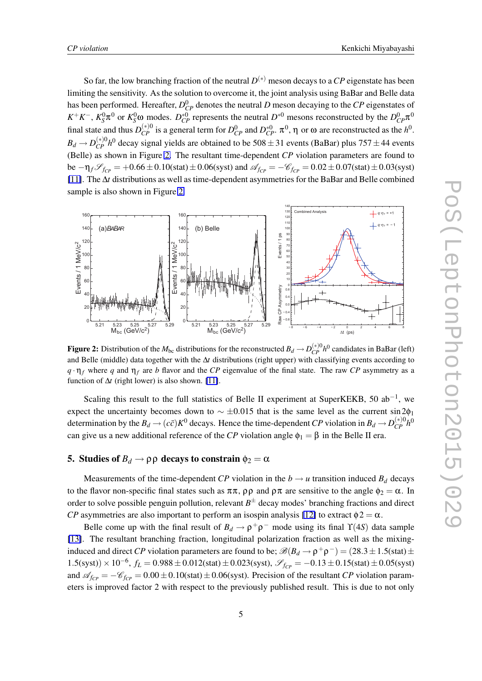So far, the low branching fraction of the neutral *D* (*∗*) meson decays to a *CP* eigenstate has been limiting the sensitivity. As the solution to overcome it, the joint analysis using BaBar and Belle data has been performed. Hereafter,  $D_{CP}^0$  denotes the neutral *D* meson decaying to the *CP* eigenstates of  $K^+K^-$ ,  $K_S^0\pi^0$  or  $K_S^0\omega$  modes.  $D_{CP}^{*0}$  represents the neutral  $D^{*0}$  mesons reconstructed by the  $D_{CP}^0\pi^0$ final state and thus  $D_{CP}^{(*)0}$  is a general term for  $D_{CP}^0$  and  $D_{CP}^{*0}$ .  $\pi^0$ ,  $\eta$  or  $\omega$  are reconstructed as the  $h^0$ .  $B_d \rightarrow D_{CP}^{(*)0} h^0$  decay signal yields are obtained to be 508 $\pm$ 31 events (BaBar) plus 757 $\pm$ 44 events (Belle) as shown in Figure 2. The resultant time-dependent *CP* violation parameters are found to be  $-\eta_f \mathcal{S}_{fcp} = +0.66 \pm 0.10$ (stat)  $\pm 0.06$ (syst) and  $\mathcal{A}_{fcp} = -\mathcal{C}_{fcp} = 0.02 \pm 0.07$ (stat)  $\pm 0.03$ (syst) [\[11\]](#page-7-0). The ∆*t* distributions as well as time-dependent asymmetries for the BaBar and Belle combined sample is also shown in Figure 2.



Figure 2: Distribution of the  $M_{bc}$  distributions for the reconstructed  $B_d \to D_{CP}^{(*)0} h^0$  candidates in BaBar (left) and Belle (middle) data together with the ∆*t* distributions (right upper) with classifying events according to  $q \cdot \eta_f$  where *q* and  $\eta_f$  are *b* flavor and the *CP* eigenvalue of the final state. The raw *CP* asymmetry as a function of  $\Delta t$  (right lower) is also shown. [\[11\]](#page-7-0).

Scaling this result to the full statistics of Belle II experiment at SuperKEKB, 50 ab*−*<sup>1</sup> , we expect the uncertainty becomes down to *∼ ±*0*.*015 that is the same level as the current sin 2φ<sup>1</sup> determination by the  $B_d \to (c\bar{c})K^0$  decays. Hence the time-dependent *CP* violation in  $B_d \to D_{CP}^{(*)0}h^0$ can give us a new additional reference of the *CP* violation angle  $\phi_1 = \beta$  in the Belle II era.

# 5. Studies of  $B_d \rightarrow \rho \rho$  decays to constrain  $\phi_2 = \alpha$

Measurements of the time-dependent *CP* violation in the  $b \rightarrow u$  transition induced  $B_d$  decays to the flavor non-specific final states such as  $\pi \pi$ ,  $\rho \rho$  and  $\rho \pi$  are sensitive to the angle  $\phi_2 = \alpha$ . In order to solve possible penguin pollution, relevant *B ±* decay modes' branching fractions and direct *CP* asymmetries are also important to perform an isospin analysis [\[12\]](#page-7-0) to extract  $\phi$ 2 =  $\alpha$ .

Belle come up with the final result of  $B_d \to \rho^+\rho^-$  mode using its final  $\Upsilon(4S)$  data sample [\[13\]](#page-7-0). The resultant branching fraction, longitudinal polarization fraction as well as the mixinginduced and direct *CP* violation parameters are found to be;  $\mathcal{B}(B_d \to \rho^+ \rho^-) = (28.3 \pm 1.5 \text{(stat)} \pm 1.5 \text{ (stat)}$ <sup>1</sup>*.*5(syst))*×*10*−*<sup>6</sup> , *f<sup>L</sup>* = 0*.*988*±*0*.*012(stat)*±*0*.*023(syst), *SfCP* = *−*0*.*13*±*0*.*15(stat)*±*0*.*05(syst) and  $\mathscr{A}_{fcp} = -\mathscr{C}_{fcp} = 0.00 \pm 0.10$ (stat)  $\pm 0.06$ (syst). Precision of the resultant *CP* violation parameters is improved factor 2 with respect to the previously published result. This is due to not only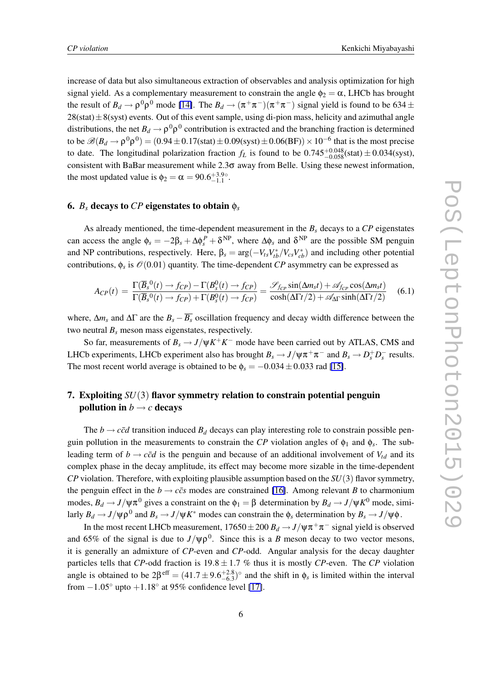increase of data but also simultaneous extraction of observables and analysis optimization for high signal yield. As a complementary measurement to constrain the angle  $\phi_2 = \alpha$ , LHCb has brought the result of  $B_d \to \rho^0 \rho^0$  mode [\[14\]](#page-7-0). The  $B_d \to (\pi^+ \pi^-)(\pi^+ \pi^-)$  signal yield is found to be 634 ± 28(stat)*±*8(syst) events. Out of this event sample, using di-pion mass, helicity and azimuthal angle distributions, the net  $B_d \to \rho^0 \rho^0$  contribution is extracted and the branching fraction is determined to be  $\mathscr{B}(B_d \to \rho^0 \rho^0) = (0.94 \pm 0.17(\text{stat}) \pm 0.09(\text{syst}) \pm 0.06(\text{BF})) \times 10^{-6}$  that is the most precise to date. The longitudinal polarization fraction  $f_L$  is found to be  $0.745_{-0.058}^{+0.048}$ (stat)  $\pm 0.034$ (syst), consistent with BaBar measurement while 2.3σ away from Belle. Using these newest information, the most updated value is  $\phi_2 = \alpha = 90.6^{+3.9}{}_{-1.1}{}^{0.1}$ .

#### 6.  $B_s$  decays to *CP* eigenstates to obtain  $\phi_s$

As already mentioned, the time-dependent measurement in the *B<sup>s</sup>* decays to a *CP* eigenstates can access the angle  $\phi_s = -2\beta_s + \Delta\phi_s^P + \delta^{NP}$ , where  $\Delta\phi_s$  and  $\delta^{NP}$  are the possible SM penguin and NP contributions, respectively. Here,  $\beta_s = \arg(-V_{ts}V_{tb}^*/V_{cs}V_{cb}^*)$  and including other potential contributions,  $\phi_s$  is  $\mathcal{O}(0.01)$  quantity. The time-dependent *CP* asymmetry can be expressed as

$$
A_{CP}(t) = \frac{\Gamma(\overline{B}_s^0(t) \to f_{CP}) - \Gamma(B_s^0(t) \to f_{CP})}{\Gamma(\overline{B}_s^0(t) \to f_{CP}) + \Gamma(B_s^0(t) \to f_{CP})} = \frac{\mathcal{S}_{f_{CP}} \sin(\Delta m_s t) + \mathcal{A}_{f_{CP}} \cos(\Delta m_s t)}{\cosh(\Delta \Gamma t/2) + \mathcal{A}_{\Delta \Gamma} \sinh(\Delta \Gamma t/2)}
$$
(6.1)

where,  $\Delta m_s$  and  $\Delta \Gamma$  are the  $B_s - \overline{B_s}$  oscillation frequency and decay width difference between the two neutral  $B_s$  meson mass eigenstates, respectively.

So far, measurements of  $B_s \to J/\psi K^+ K^-$  mode have been carried out by ATLAS, CMS and LHCb experiments, LHCb experiment also has brought  $B_s \to J/\psi \pi^+ \pi^-$  and  $B_s \to D_s^+ D_s^-$  results. The most recent world average is obtained to be  $\phi_s = -0.034 \pm 0.033$  rad [\[15\]](#page-7-0).

# 7. Exploiting *SU*(3) flavor symmetry relation to constrain potential penguin pollution in  $b \rightarrow c$  decays

The *b*  $\rightarrow$  *c* $\bar{c}d$  transition induced  $B_d$  decays can play interesting role to constrain possible penguin pollution in the measurements to constrain the *CP* violation angles of  $\phi_1$  and  $\phi_s$ . The subleading term of  $b \rightarrow c\bar{c}d$  is the penguin and because of an additional involvement of  $V_{td}$  and its complex phase in the decay amplitude, its effect may become more sizable in the time-dependent *CP* violation. Therefore, with exploiting plausible assumption based on the *SU*(3) flavor symmetry, the penguin effect in the  $b \rightarrow c\bar{c}s$  modes are constrained [\[16\]](#page-7-0). Among relevant *B* to charmonium modes,  $B_d \to J/\psi \pi^0$  gives a constraint on the  $\phi_1 = \beta$  determination by  $B_d \to J/\psi K^0$  mode, similarly  $B_d \to J/\psi \rho^0$  and  $B_s \to J/\psi K^*$  modes can constrain the  $\phi_s$  determination by  $B_s \to J/\psi \phi$ .

In the most recent LHCb measurement,  $17650 \pm 200$   $B_d \rightarrow J/\psi \pi^+ \pi^-$  signal yield is observed and 65% of the signal is due to  $J/\psi \rho^0$ . Since this is a *B* meson decay to two vector mesons, it is generally an admixture of *CP*-even and *CP*-odd. Angular analysis for the decay daughter particles tells that *CP*-odd fraction is  $19.8 \pm 1.7$  % thus it is mostly *CP*-even. The *CP* violation angle is obtained to be  $2\beta^{\text{eff}} = (41.7 \pm 9.6^{+2.8}_{-6.3})^{\circ}$  and the shift in  $\phi_s$  is limited within the interval from *−*1*.*05*◦* upto +1*.*18*◦* at 95% confidence level [\[17\]](#page-7-0).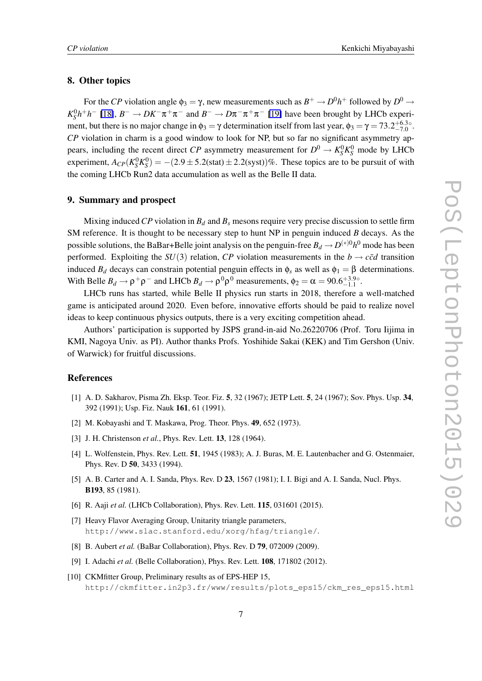### <span id="page-6-0"></span>8. Other topics

For the *CP* violation angle  $\phi_3 = \gamma$ , new measurements such as  $B^+ \to D^0 h^+$  followed by  $D^0 \to$  $K_S^0 h^+ h^-$  [\[18\]](#page-7-0),  $B^- \to D K^- \pi^+ \pi^-$  and  $B^- \to D \pi^- \pi^+ \pi^-$  [\[19\]](#page-7-0) have been brought by LHCb experiment, but there is no major change in  $\phi_3 = \gamma$  determination itself from last year,  $\phi_3 = \gamma = 73.2^{+6.3\circ}_{-7.0}$ . *CP* violation in charm is a good window to look for NP, but so far no significant asymmetry appears, including the recent direct *CP* asymmetry measurement for  $D^0 \to K_S^0 K_S^0$  mode by LHCb experiment,  $A_{CP}(K_S^0 K_S^0) = -(2.9 \pm 5.2 \text{(stat)} \pm 2.2 \text{(syst)})\%$ . These topics are to be pursuit of with the coming LHCb Run2 data accumulation as well as the Belle II data.

#### 9. Summary and prospect

Mixing induced CP violation in  $B_d$  and  $B_s$  mesons require very precise discussion to settle firm SM reference. It is thought to be necessary step to hunt NP in penguin induced *B* decays. As the possible solutions, the BaBar+Belle joint analysis on the penguin-free  $B_d \to D^{(*)0}h^0$  mode has been performed. Exploiting the *SU*(3) relation, *CP* violation measurements in the  $b \rightarrow c\bar{c}d$  transition induced  $B_d$  decays can constrain potential penguin effects in  $\phi_s$  as well as  $\phi_1 = \beta$  determinations. With Belle  $B_d \to \rho^+ \rho^-$  and LHCb  $B_d \to \rho^0 \rho^0$  measurements,  $\phi_2 = \alpha = 90.6^{+3.9\circ}_{-1.1}$ .

LHCb runs has started, while Belle II physics run starts in 2018, therefore a well-matched game is anticipated around 2020. Even before, innovative efforts should be paid to realize novel ideas to keep continuous physics outputs, there is a very exciting competition ahead.

Authors' participation is supported by JSPS grand-in-aid No.26220706 (Prof. Toru Iijima in KMI, Nagoya Univ. as PI). Author thanks Profs. Yoshihide Sakai (KEK) and Tim Gershon (Univ. of Warwick) for fruitful discussions.

### References

- [1] A. D. Sakharov, Pisma Zh. Eksp. Teor. Fiz. 5, 32 (1967); JETP Lett. 5, 24 (1967); Sov. Phys. Usp. 34, 392 (1991); Usp. Fiz. Nauk 161, 61 (1991).
- [2] M. Kobayashi and T. Maskawa, Prog. Theor. Phys. 49, 652 (1973).
- [3] J. H. Christenson *et al.*, *Phys. Rev. Lett.* **13**, 128 (1964).
- [4] L. Wolfenstein, Phys. Rev. Lett. 51, 1945 (1983); A. J. Buras, M. E. Lautenbacher and G. Ostenmaier, Phys. Rev. D 50, 3433 (1994).
- [5] A. B. Carter and A. I. Sanda, Phys. Rev. D 23, 1567 (1981); I. I. Bigi and A. I. Sanda, Nucl. Phys. B193, 85 (1981).
- [6] R. Aaji *et al.* (LHCb Collaboration), Phys. Rev. Lett. 115, 031601 (2015).
- [7] Heavy Flavor Averaging Group, Unitarity triangle parameters, http://www.slac.stanford.edu/xorg/hfag/triangle/.
- [8] B. Aubert *et al.* (BaBar Collaboration), Phys. Rev. D **79**, 072009 (2009).
- [9] I. Adachi *et al.* (Belle Collaboration), Phys. Rev. Lett. 108, 171802 (2012).
- [10] CKMfitter Group, Preliminary results as of EPS-HEP 15, http://ckmfitter.in2p3.fr/www/results/plots\_eps15/ckm\_res\_eps15.html